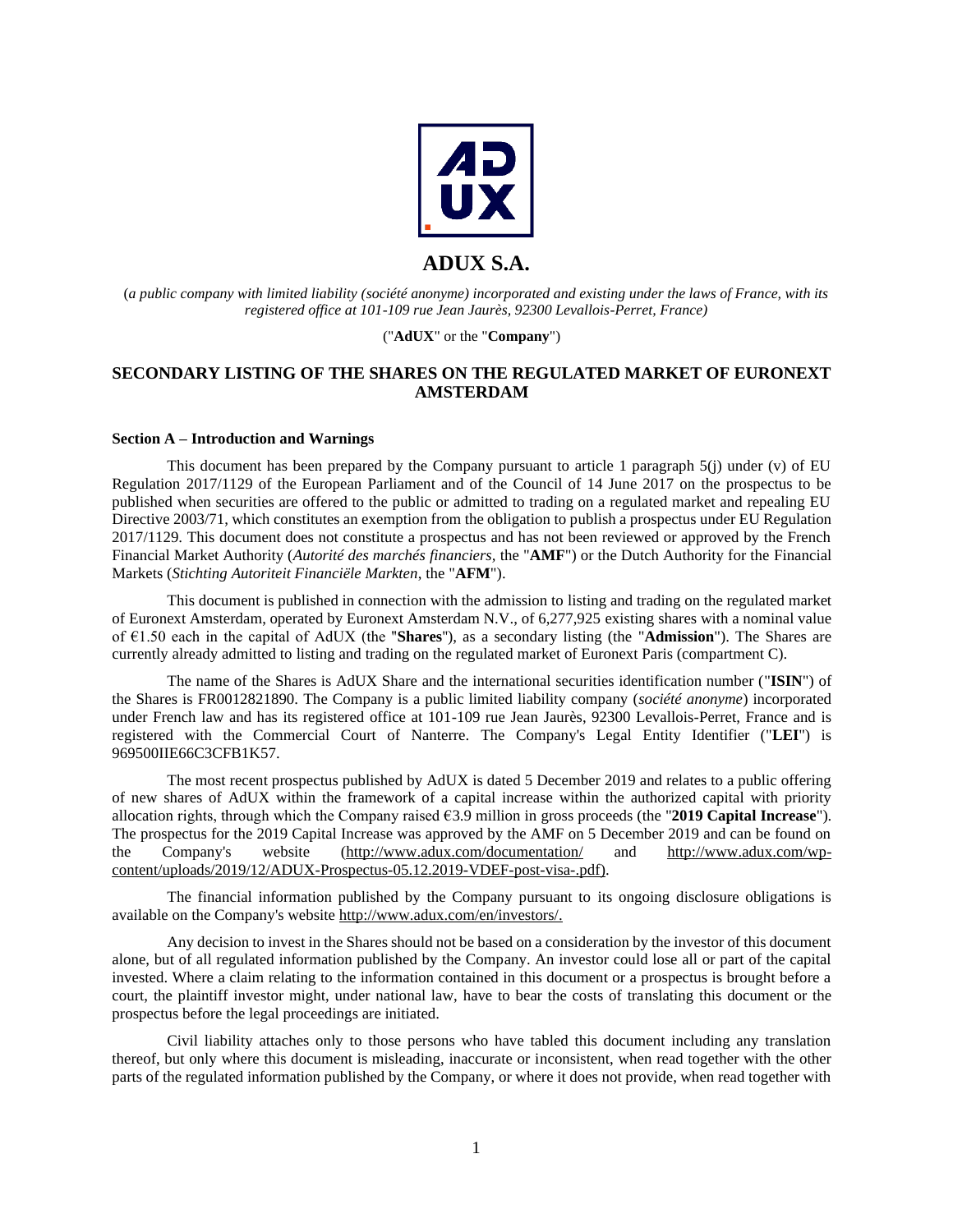

# **ADUX S.A.**

(*a public company with limited liability (société anonyme) incorporated and existing under the laws of France, with its registered office at 101-109 rue Jean Jaurès, 92300 Levallois-Perret, France)*

# ("**AdUX**" or the "**Company**")

# **SECONDARY LISTING OF THE SHARES ON THE REGULATED MARKET OF EURONEXT AMSTERDAM**

### **Section A – Introduction and Warnings**

This document has been prepared by the Company pursuant to article 1 paragraph  $5(i)$  under (v) of EU Regulation 2017/1129 of the European Parliament and of the Council of 14 June 2017 on the prospectus to be published when securities are offered to the public or admitted to trading on a regulated market and repealing EU Directive 2003/71, which constitutes an exemption from the obligation to publish a prospectus under EU Regulation 2017/1129. This document does not constitute a prospectus and has not been reviewed or approved by the French Financial Market Authority (*Autorité des marchés financiers,* the "**AMF**") or the Dutch Authority for the Financial Markets (*Stichting Autoriteit Financiële Markten*, the "**AFM**").

This document is published in connection with the admission to listing and trading on the regulated market of Euronext Amsterdam, operated by Euronext Amsterdam N.V., of 6,277,925 existing shares with a nominal value of €1.50 each in the capital of AdUX (the ''**Shares**''), as a secondary listing (the "**Admission**"). The Shares are currently already admitted to listing and trading on the regulated market of Euronext Paris (compartment C).

The name of the Shares is AdUX Share and the international securities identification number ("**ISIN**") of the Shares is FR0012821890. The Company is a public limited liability company (*société anonyme*) incorporated under French law and has its registered office at 101-109 rue Jean Jaurès, 92300 Levallois-Perret, France and is registered with the Commercial Court of Nanterre. The Company's Legal Entity Identifier ("**LEI**") is 969500IIE66C3CFB1K57.

The most recent prospectus published by AdUX is dated 5 December 2019 and relates to a public offering of new shares of AdUX within the framework of a capital increase within the authorized capital with priority allocation rights, through which the Company raised €3.9 million in gross proceeds (the "**2019 Capital Increase**"). The prospectus for the 2019 Capital Increase was approved by the AMF on 5 December 2019 and can be found on the Company's website [\(http://www.adux.com/documentation/](http://www.adux.com/documentation/) and [http://www.adux.com/wp](http://www.adux.com/wp-content/uploads/2019/12/ADUX-Prospectus-05.12.2019-VDEF-post-visa-.pdf)[content/uploads/2019/12/ADUX-Prospectus-05.12.2019-VDEF-post-visa-.pdf\)](http://www.adux.com/wp-content/uploads/2019/12/ADUX-Prospectus-05.12.2019-VDEF-post-visa-.pdf).

The financial information published by the Company pursuant to its ongoing disclosure obligations is available on the Company's website [http://www.adux.com/en/investors/.](http://www.adux.com/en/investors/)

Any decision to invest in the Shares should not be based on a consideration by the investor of this document alone, but of all regulated information published by the Company. An investor could lose all or part of the capital invested. Where a claim relating to the information contained in this document or a prospectus is brought before a court, the plaintiff investor might, under national law, have to bear the costs of translating this document or the prospectus before the legal proceedings are initiated.

Civil liability attaches only to those persons who have tabled this document including any translation thereof, but only where this document is misleading, inaccurate or inconsistent, when read together with the other parts of the regulated information published by the Company, or where it does not provide, when read together with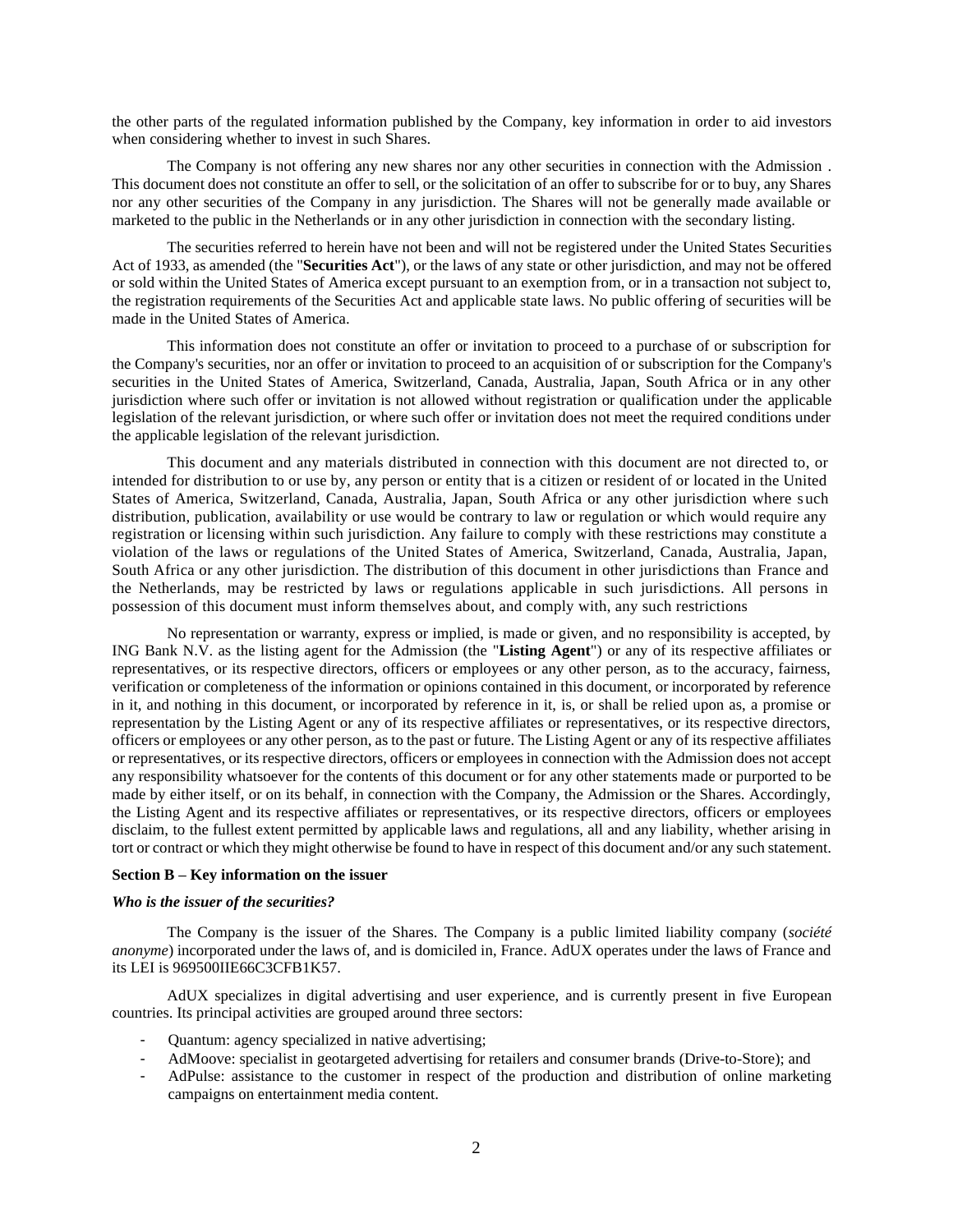the other parts of the regulated information published by the Company, key information in order to aid investors when considering whether to invest in such Shares.

The Company is not offering any new shares nor any other securities in connection with the Admission . This document does not constitute an offer to sell, or the solicitation of an offer to subscribe for or to buy, any Shares nor any other securities of the Company in any jurisdiction. The Shares will not be generally made available or marketed to the public in the Netherlands or in any other jurisdiction in connection with the secondary listing.

The securities referred to herein have not been and will not be registered under the United States Securities Act of 1933, as amended (the "**Securities Act**"), or the laws of any state or other jurisdiction, and may not be offered or sold within the United States of America except pursuant to an exemption from, or in a transaction not subject to, the registration requirements of the Securities Act and applicable state laws. No public offering of securities will be made in the United States of America.

This information does not constitute an offer or invitation to proceed to a purchase of or subscription for the Company's securities, nor an offer or invitation to proceed to an acquisition of or subscription for the Company's securities in the United States of America, Switzerland, Canada, Australia, Japan, South Africa or in any other jurisdiction where such offer or invitation is not allowed without registration or qualification under the applicable legislation of the relevant jurisdiction, or where such offer or invitation does not meet the required conditions under the applicable legislation of the relevant jurisdiction.

This document and any materials distributed in connection with this document are not directed to, or intended for distribution to or use by, any person or entity that is a citizen or resident of or located in the United States of America, Switzerland, Canada, Australia, Japan, South Africa or any other jurisdiction where such distribution, publication, availability or use would be contrary to law or regulation or which would require any registration or licensing within such jurisdiction. Any failure to comply with these restrictions may constitute a violation of the laws or regulations of the United States of America, Switzerland, Canada, Australia, Japan, South Africa or any other jurisdiction. The distribution of this document in other jurisdictions than France and the Netherlands, may be restricted by laws or regulations applicable in such jurisdictions. All persons in possession of this document must inform themselves about, and comply with, any such restrictions

No representation or warranty, express or implied, is made or given, and no responsibility is accepted, by ING Bank N.V. as the listing agent for the Admission (the "**Listing Agent**") or any of its respective affiliates or representatives, or its respective directors, officers or employees or any other person, as to the accuracy, fairness, verification or completeness of the information or opinions contained in this document, or incorporated by reference in it, and nothing in this document, or incorporated by reference in it, is, or shall be relied upon as, a promise or representation by the Listing Agent or any of its respective affiliates or representatives, or its respective directors, officers or employees or any other person, as to the past or future. The Listing Agent or any of its respective affiliates or representatives, or its respective directors, officers or employees in connection with the Admission does not accept any responsibility whatsoever for the contents of this document or for any other statements made or purported to be made by either itself, or on its behalf, in connection with the Company, the Admission or the Shares. Accordingly, the Listing Agent and its respective affiliates or representatives, or its respective directors, officers or employees disclaim, to the fullest extent permitted by applicable laws and regulations, all and any liability, whether arising in tort or contract or which they might otherwise be found to have in respect of this document and/or any such statement.

# **Section B – Key information on the issuer**

#### *Who is the issuer of the securities?*

The Company is the issuer of the Shares. The Company is a public limited liability company (*société anonyme*) incorporated under the laws of, and is domiciled in, France. AdUX operates under the laws of France and its LEI is 969500IIE66C3CFB1K57.

AdUX specializes in digital advertising and user experience, and is currently present in five European countries. Its principal activities are grouped around three sectors:

- Quantum: agency specialized in native advertising;
- AdMoove: specialist in geotargeted advertising for retailers and consumer brands (Drive-to-Store); and
- AdPulse: assistance to the customer in respect of the production and distribution of online marketing campaigns on entertainment media content.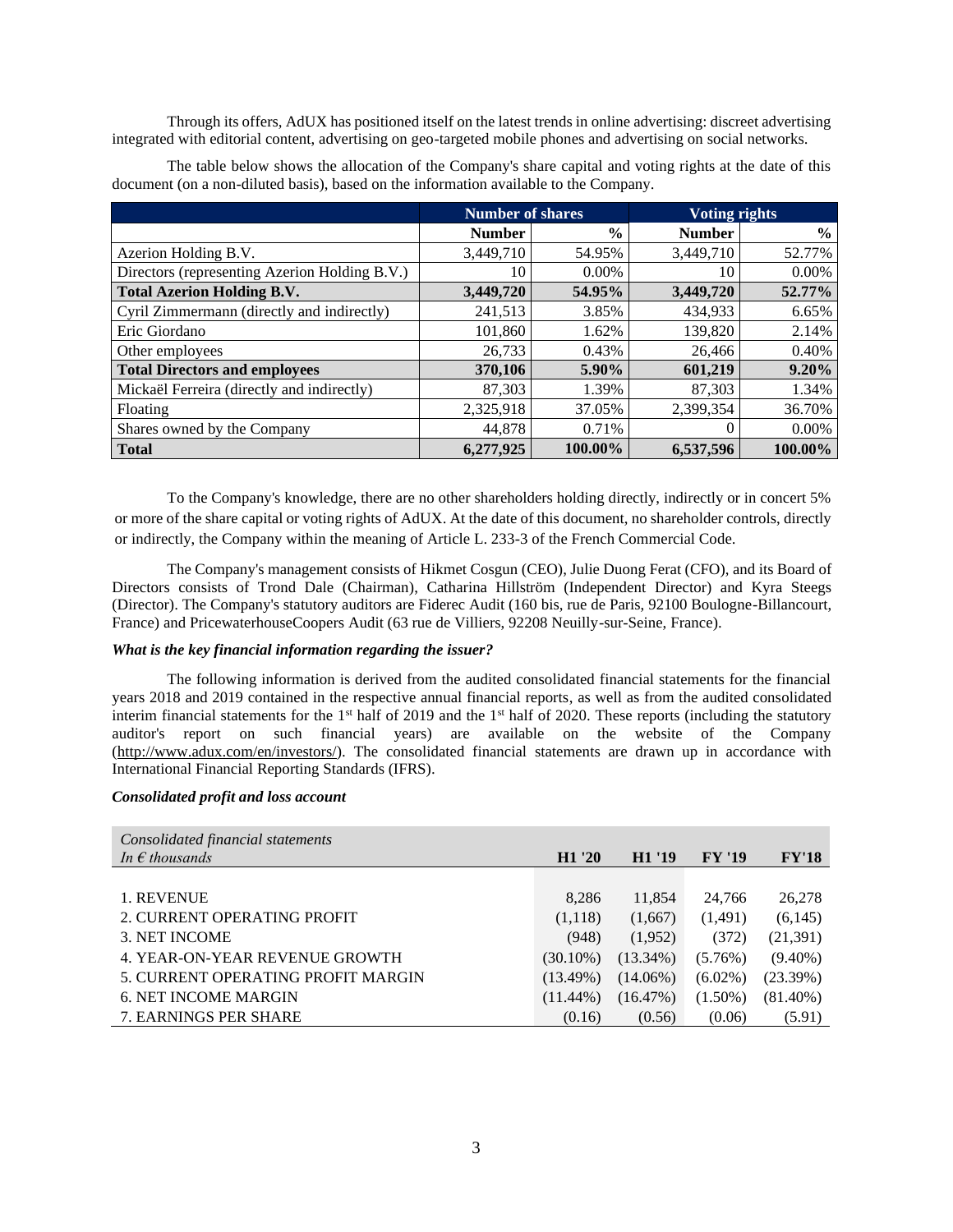Through its offers, AdUX has positioned itself on the latest trends in online advertising: discreet advertising integrated with editorial content, advertising on geo-targeted mobile phones and advertising on social networks.

The table below shows the allocation of the Company's share capital and voting rights at the date of this document (on a non-diluted basis), based on the information available to the Company.

|                                               | <b>Number of shares</b> |               | <b>Voting rights</b> |               |
|-----------------------------------------------|-------------------------|---------------|----------------------|---------------|
|                                               | <b>Number</b>           | $\frac{0}{0}$ | <b>Number</b>        | $\frac{6}{9}$ |
| Azerion Holding B.V.                          | 3,449,710               | 54.95%        | 3,449,710            | 52.77%        |
| Directors (representing Azerion Holding B.V.) | 10                      | $0.00\%$      | 10                   | 0.00%         |
| <b>Total Azerion Holding B.V.</b>             | 3,449,720               | 54.95%        | 3,449,720            | 52.77%        |
| Cyril Zimmermann (directly and indirectly)    | 241,513                 | 3.85%         | 434.933              | 6.65%         |
| Eric Giordano                                 | 101,860                 | 1.62%         | 139,820              | 2.14%         |
| Other employees                               | 26,733                  | 0.43%         | 26,466               | 0.40%         |
| <b>Total Directors and employees</b>          | 370,106                 | 5.90%         | 601,219              | 9.20%         |
| Mickaël Ferreira (directly and indirectly)    | 87,303                  | 1.39%         | 87,303               | 1.34%         |
| Floating                                      | 2,325,918               | 37.05%        | 2.399.354            | 36.70%        |
| Shares owned by the Company                   | 44,878                  | 0.71%         | $\Omega$             | 0.00%         |
| <b>Total</b>                                  | 6,277,925               | 100.00%       | 6,537,596            | 100.00%       |

To the Company's knowledge, there are no other shareholders holding directly, indirectly or in concert 5% or more of the share capital or voting rights of AdUX. At the date of this document, no shareholder controls, directly or indirectly, the Company within the meaning of Article L. 233-3 of the French Commercial Code.

The Company's management consists of Hikmet Cosgun (CEO), Julie Duong Ferat (CFO), and its Board of Directors consists of Trond Dale (Chairman), Catharina Hillström (Independent Director) and Kyra Steegs (Director). The Company's statutory auditors are Fiderec Audit (160 bis, rue de Paris, 92100 Boulogne-Billancourt, France) and PricewaterhouseCoopers Audit (63 rue de Villiers, 92208 Neuilly-sur-Seine, France).

# *What is the key financial information regarding the issuer?*

The following information is derived from the audited consolidated financial statements for the financial years 2018 and 2019 contained in the respective annual financial reports, as well as from the audited consolidated interim financial statements for the  $1<sup>st</sup>$  half of 2019 and the  $1<sup>st</sup>$  half of 2020. These reports (including the statutory auditor's report on such financial years) are available on the website of the Company [\(http://www.adux.com/en/investors/\)](http://www.adux.com/en/investors/). The consolidated financial statements are drawn up in accordance with International Financial Reporting Standards (IFRS).

# *Consolidated profit and loss account*

| Consolidated financial statements  |                    |                    |               |              |
|------------------------------------|--------------------|--------------------|---------------|--------------|
| In $\epsilon$ thousands            | H <sub>1</sub> '20 | H <sub>1</sub> '19 | <b>FY '19</b> | <b>FY'18</b> |
|                                    |                    |                    |               |              |
| 1. REVENUE                         | 8,286              | 11,854             | 24,766        | 26,278       |
| 2. CURRENT OPERATING PROFIT        | (1,118)            | (1,667)            | (1,491)       | (6,145)      |
| 3. NET INCOME                      | (948)              | (1,952)            | (372)         | (21,391)     |
| 4. YEAR-ON-YEAR REVENUE GROWTH     | $(30.10\%)$        | $(13.34\%)$        | $(5.76\%)$    | $(9.40\%)$   |
| 5. CURRENT OPERATING PROFIT MARGIN | $(13.49\%)$        | $(14.06\%)$        | $(6.02\%)$    | (23.39%)     |
| <b>6. NET INCOME MARGIN</b>        | $(11.44\%)$        | (16.47%)           | $(1.50\%)$    | $(81.40\%)$  |
| 7. EARNINGS PER SHARE              | (0.16)             | (0.56)             | (0.06)        | (5.91)       |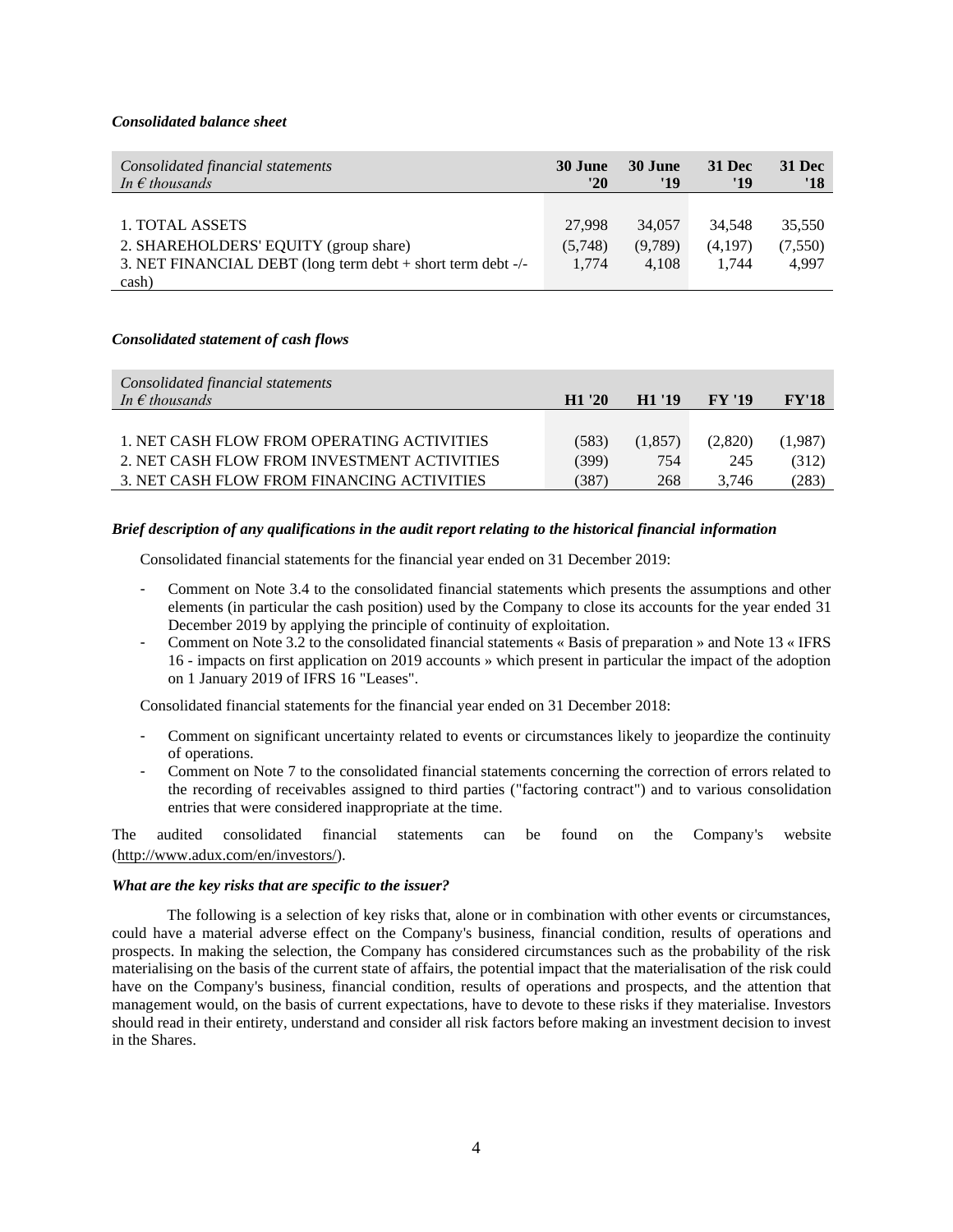# *Consolidated balance sheet*

| Consolidated financial statements<br>In $\epsilon$ thousands | 30 June<br>'20 | 30 June<br>'19 | <b>31 Dec</b><br>'19 | <b>31 Dec</b><br>'18 |
|--------------------------------------------------------------|----------------|----------------|----------------------|----------------------|
|                                                              |                |                |                      |                      |
| 1. TOTAL ASSETS                                              | 27,998         | 34,057         | 34.548               | 35,550               |
| 2. SHAREHOLDERS' EQUITY (group share)                        | (5,748)        | (9,789)        | (4,197)              | (7, 550)             |
| 3. NET FINANCIAL DEBT (long term debt + short term debt -/-  | 1.774          | 4.108          | 1.744                | 4.997                |
| cash)                                                        |                |                |                      |                      |

#### *Consolidated statement of cash flows*

| Consolidated financial statements<br>In $\epsilon$ thousands | H1'20 | H <sub>1</sub> '19 | <b>FY '19</b> | FY'18   |
|--------------------------------------------------------------|-------|--------------------|---------------|---------|
|                                                              |       |                    |               |         |
| 1. NET CASH FLOW FROM OPERATING ACTIVITIES                   | (583) | (1,857)            | (2,820)       | (1,987) |
| 2. NET CASH FLOW FROM INVESTMENT ACTIVITIES                  | (399) | 754                | 245           | (312)   |
| 3. NET CASH FLOW FROM FINANCING ACTIVITIES                   | (387) | 268                | 3.746         | (283)   |

### *Brief description of any qualifications in the audit report relating to the historical financial information*

Consolidated financial statements for the financial year ended on 31 December 2019:

- Comment on Note 3.4 to the consolidated financial statements which presents the assumptions and other elements (in particular the cash position) used by the Company to close its accounts for the year ended 31 December 2019 by applying the principle of continuity of exploitation.
- Comment on Note 3.2 to the consolidated financial statements « Basis of preparation » and Note 13 « IFRS 16 - impacts on first application on 2019 accounts » which present in particular the impact of the adoption on 1 January 2019 of IFRS 16 "Leases".

Consolidated financial statements for the financial year ended on 31 December 2018:

- Comment on significant uncertainty related to events or circumstances likely to jeopardize the continuity of operations.
- Comment on Note 7 to the consolidated financial statements concerning the correction of errors related to the recording of receivables assigned to third parties ("factoring contract") and to various consolidation entries that were considered inappropriate at the time.

The audited consolidated financial statements can be found on the Company's website [\(http://www.adux.com/en/investors/\)](http://www.adux.com/en/investors/).

#### *What are the key risks that are specific to the issuer?*

The following is a selection of key risks that, alone or in combination with other events or circumstances, could have a material adverse effect on the Company's business, financial condition, results of operations and prospects. In making the selection, the Company has considered circumstances such as the probability of the risk materialising on the basis of the current state of affairs, the potential impact that the materialisation of the risk could have on the Company's business, financial condition, results of operations and prospects, and the attention that management would, on the basis of current expectations, have to devote to these risks if they materialise. Investors should read in their entirety, understand and consider all risk factors before making an investment decision to invest in the Shares.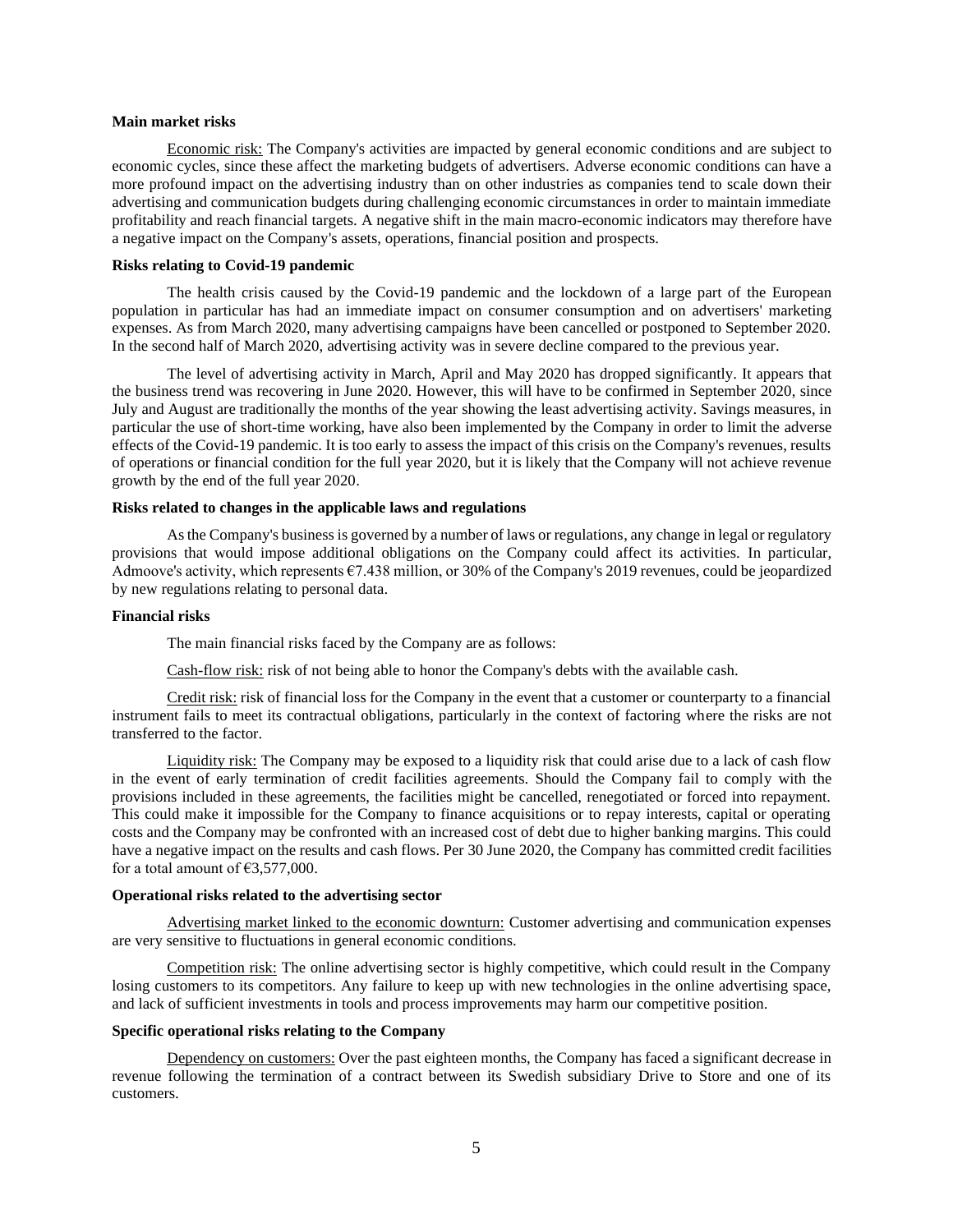#### **Main market risks**

Economic risk: The Company's activities are impacted by general economic conditions and are subject to economic cycles, since these affect the marketing budgets of advertisers. Adverse economic conditions can have a more profound impact on the advertising industry than on other industries as companies tend to scale down their advertising and communication budgets during challenging economic circumstances in order to maintain immediate profitability and reach financial targets. A negative shift in the main macro-economic indicators may therefore have a negative impact on the Company's assets, operations, financial position and prospects.

# **Risks relating to Covid-19 pandemic**

The health crisis caused by the Covid-19 pandemic and the lockdown of a large part of the European population in particular has had an immediate impact on consumer consumption and on advertisers' marketing expenses. As from March 2020, many advertising campaigns have been cancelled or postponed to September 2020. In the second half of March 2020, advertising activity was in severe decline compared to the previous year.

The level of advertising activity in March, April and May 2020 has dropped significantly. It appears that the business trend was recovering in June 2020. However, this will have to be confirmed in September 2020, since July and August are traditionally the months of the year showing the least advertising activity. Savings measures, in particular the use of short-time working, have also been implemented by the Company in order to limit the adverse effects of the Covid-19 pandemic. It is too early to assess the impact of this crisis on the Company's revenues, results of operations or financial condition for the full year 2020, but it is likely that the Company will not achieve revenue growth by the end of the full year 2020.

#### **Risks related to changes in the applicable laws and regulations**

As the Company's business is governed by a number of laws or regulations, any change in legal or regulatory provisions that would impose additional obligations on the Company could affect its activities. In particular, Admoove's activity, which represents €7.438 million, or 30% of the Company's 2019 revenues, could be jeopardized by new regulations relating to personal data.

# **Financial risks**

The main financial risks faced by the Company are as follows:

Cash-flow risk: risk of not being able to honor the Company's debts with the available cash.

Credit risk: risk of financial loss for the Company in the event that a customer or counterparty to a financial instrument fails to meet its contractual obligations, particularly in the context of factoring where the risks are not transferred to the factor.

Liquidity risk: The Company may be exposed to a liquidity risk that could arise due to a lack of cash flow in the event of early termination of credit facilities agreements. Should the Company fail to comply with the provisions included in these agreements, the facilities might be cancelled, renegotiated or forced into repayment. This could make it impossible for the Company to finance acquisitions or to repay interests, capital or operating costs and the Company may be confronted with an increased cost of debt due to higher banking margins. This could have a negative impact on the results and cash flows. Per 30 June 2020, the Company has committed credit facilities for a total amount of  $£3,577,000$ .

#### **Operational risks related to the advertising sector**

Advertising market linked to the economic downturn: Customer advertising and communication expenses are very sensitive to fluctuations in general economic conditions.

Competition risk: The online advertising sector is highly competitive, which could result in the Company losing customers to its competitors. Any failure to keep up with new technologies in the online advertising space, and lack of sufficient investments in tools and process improvements may harm our competitive position.

## **Specific operational risks relating to the Company**

Dependency on customers: Over the past eighteen months, the Company has faced a significant decrease in revenue following the termination of a contract between its Swedish subsidiary Drive to Store and one of its customers.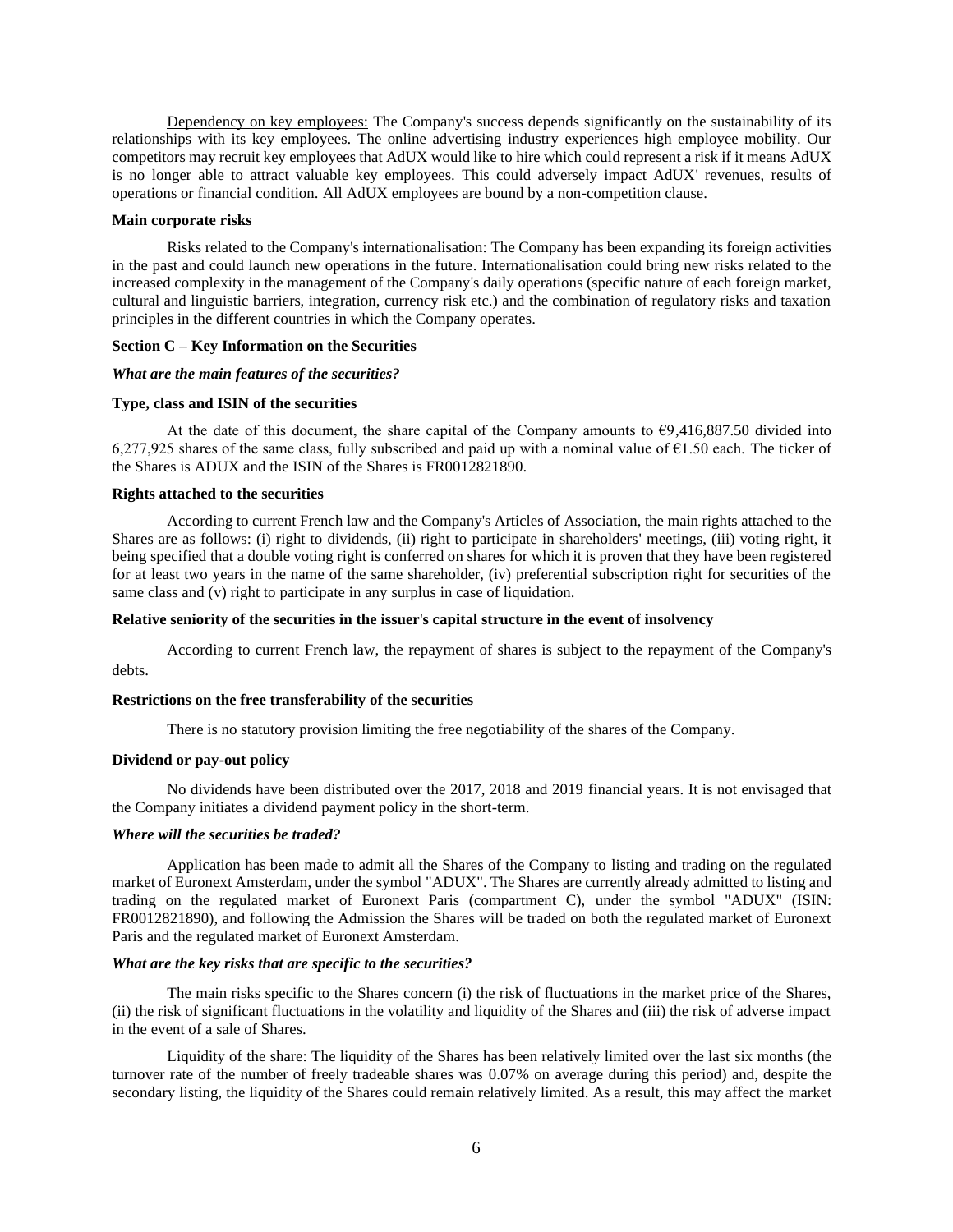Dependency on key employees: The Company's success depends significantly on the sustainability of its relationships with its key employees. The online advertising industry experiences high employee mobility. Our competitors may recruit key employees that AdUX would like to hire which could represent a risk if it means AdUX is no longer able to attract valuable key employees. This could adversely impact AdUX' revenues, results of operations or financial condition. All AdUX employees are bound by a non-competition clause.

#### **Main corporate risks**

Risks related to the Company's internationalisation: The Company has been expanding its foreign activities in the past and could launch new operations in the future. Internationalisation could bring new risks related to the increased complexity in the management of the Company's daily operations (specific nature of each foreign market, cultural and linguistic barriers, integration, currency risk etc.) and the combination of regulatory risks and taxation principles in the different countries in which the Company operates.

#### **Section C – Key Information on the Securities**

#### *What are the main features of the securities?*

# **Type, class and ISIN of the securities**

At the date of this document, the share capital of the Company amounts to  $\epsilon$ 9,416,887.50 divided into 6,277,925 shares of the same class, fully subscribed and paid up with a nominal value of  $\epsilon$ 1.50 each. The ticker of the Shares is ADUX and the ISIN of the Shares is FR0012821890.

# **Rights attached to the securities**

According to current French law and the Company's Articles of Association, the main rights attached to the Shares are as follows: (i) right to dividends, (ii) right to participate in shareholders' meetings, (iii) voting right, it being specified that a double voting right is conferred on shares for which it is proven that they have been registered for at least two years in the name of the same shareholder, (iv) preferential subscription right for securities of the same class and (v) right to participate in any surplus in case of liquidation.

#### **Relative seniority of the securities in the issuer**'**s capital structure in the event of insolvency**

According to current French law, the repayment of shares is subject to the repayment of the Company's debts.

#### **Restrictions on the free transferability of the securities**

There is no statutory provision limiting the free negotiability of the shares of the Company.

# **Dividend or pay-out policy**

No dividends have been distributed over the 2017, 2018 and 2019 financial years. It is not envisaged that the Company initiates a dividend payment policy in the short-term.

#### *Where will the securities be traded?*

Application has been made to admit all the Shares of the Company to listing and trading on the regulated market of Euronext Amsterdam, under the symbol "ADUX". The Shares are currently already admitted to listing and trading on the regulated market of Euronext Paris (compartment C), under the symbol "ADUX" (ISIN: FR0012821890), and following the Admission the Shares will be traded on both the regulated market of Euronext Paris and the regulated market of Euronext Amsterdam.

#### *What are the key risks that are specific to the securities?*

The main risks specific to the Shares concern (i) the risk of fluctuations in the market price of the Shares, (ii) the risk of significant fluctuations in the volatility and liquidity of the Shares and (iii) the risk of adverse impact in the event of a sale of Shares.

Liquidity of the share: The liquidity of the Shares has been relatively limited over the last six months (the turnover rate of the number of freely tradeable shares was 0.07% on average during this period) and, despite the secondary listing, the liquidity of the Shares could remain relatively limited. As a result, this may affect the market